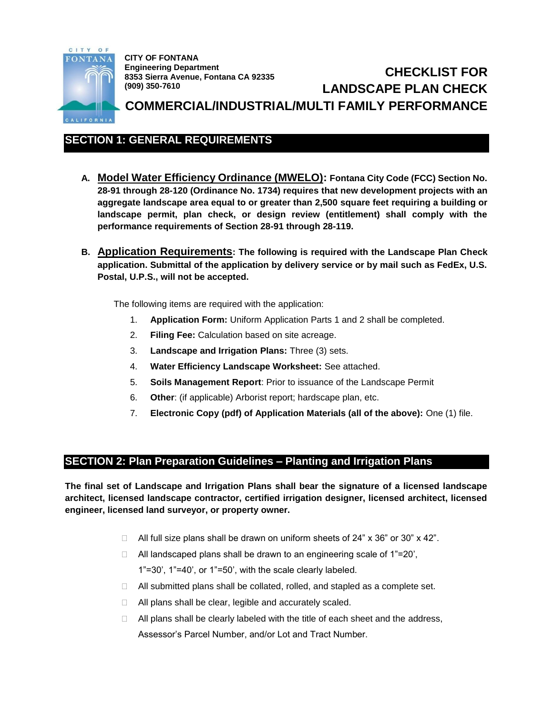

**CITY OF FONTANA Engineering Department 8353 Sierra Avenue, Fontana CA 92335 (909) 350-7610**

# **CHECKLIST FOR LANDSCAPE PLAN CHECK COMMERCIAL/INDUSTRIAL/MULTI FAMILY PERFORMANCE**

# **SECTION 1: GENERAL REQUIREMENTS**

- **A. Model Water Efficiency Ordinance (MWELO): Fontana City Code (FCC) Section No. 28-91 through 28-120 (Ordinance No. 1734) requires that new development projects with an aggregate landscape area equal to or greater than 2,500 square feet requiring a building or landscape permit, plan check, or design review (entitlement) shall comply with the performance requirements of Section 28-91 through 28-119.**
- **B. Application Requirements: The following is required with the Landscape Plan Check application. Submittal of the application by delivery service or by mail such as FedEx, U.S. Postal, U.P.S., will not be accepted.**

The following items are required with the application:

- 1. **Application Form:** Uniform Application Parts 1 and 2 shall be completed.
- 2. **Filing Fee:** Calculation based on site acreage.
- 3. **Landscape and Irrigation Plans:** Three (3) sets.
- 4. **Water Efficiency Landscape Worksheet:** See attached.
- 5. **Soils Management Report**: Prior to issuance of the Landscape Permit
- 6. **Other**: (if applicable) Arborist report; hardscape plan, etc.
- 7. **Electronic Copy (pdf) of Application Materials (all of the above):** One (1) file.

### **SECTION 2: Plan Preparation Guidelines – Planting and Irrigation Plans**

**The final set of Landscape and Irrigation Plans shall bear the signature of a licensed landscape architect, licensed landscape contractor, certified irrigation designer, licensed architect, licensed engineer, licensed land surveyor, or property owner.**

- $\Box$  All full size plans shall be drawn on uniform sheets of 24" x 36" or 30" x 42".
- □ All landscaped plans shall be drawn to an engineering scale of 1"=20', 1"=30', 1"=40', or 1"=50', with the scale clearly labeled.
- $\Box$  All submitted plans shall be collated, rolled, and stapled as a complete set.
- $\Box$  All plans shall be clear, legible and accurately scaled.
- $\Box$  All plans shall be clearly labeled with the title of each sheet and the address, Assessor's Parcel Number, and/or Lot and Tract Number.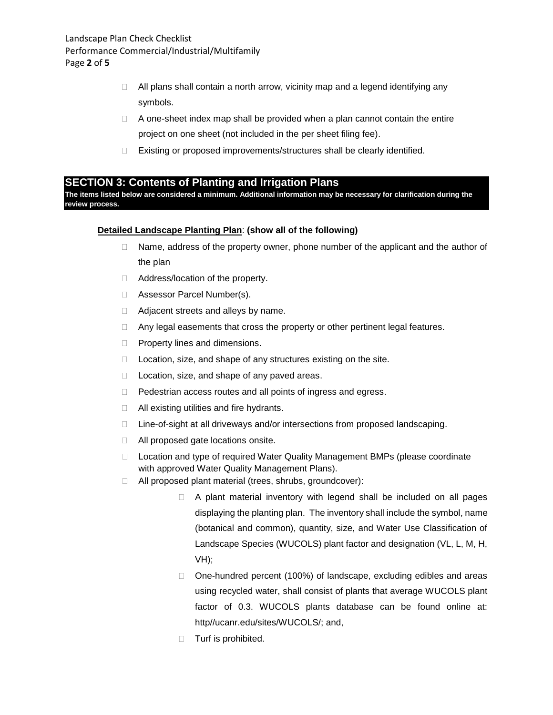- $\Box$  All plans shall contain a north arrow, vicinity map and a legend identifying any symbols.
- $\Box$  A one-sheet index map shall be provided when a plan cannot contain the entire project on one sheet (not included in the per sheet filing fee).
- □ Existing or proposed improvements/structures shall be clearly identified.

### **SECTION 3: Contents of Planting and Irrigation Plans**

**The items listed below are considered a minimum. Additional information may be necessary for clarification during the review process.**

#### **Detailed Landscape Planting Plan**: **(show all of the following)**

- $\Box$  Name, address of the property owner, phone number of the applicant and the author of the plan
- □ Address/location of the property.
- □ Assessor Parcel Number(s).
- □ Adjacent streets and alleys by name.
- □ Any legal easements that cross the property or other pertinent legal features.
- $\Box$  Property lines and dimensions.
- $\Box$  Location, size, and shape of any structures existing on the site.
- $\Box$  Location, size, and shape of any paved areas.
- D Pedestrian access routes and all points of ingress and egress.
- $\Box$  All existing utilities and fire hydrants.
- □ Line-of-sight at all driveways and/or intersections from proposed landscaping.
- □ All proposed gate locations onsite.
- □ Location and type of required Water Quality Management BMPs (please coordinate with approved Water Quality Management Plans).
- All proposed plant material (trees, shrubs, groundcover):
	- $\Box$  A plant material inventory with legend shall be included on all pages displaying the planting plan. The inventory shall include the symbol, name (botanical and common), quantity, size, and Water Use Classification of Landscape Species (WUCOLS) plant factor and designation (VL, L, M, H, VH);
	- □ One-hundred percent (100%) of landscape, excluding edibles and areas using recycled water, shall consist of plants that average WUCOLS plant factor of 0.3. WUCOLS plants database can be found online at: http//ucanr.edu/sites/WUCOLS/; and,
	- $\Box$  Turf is prohibited.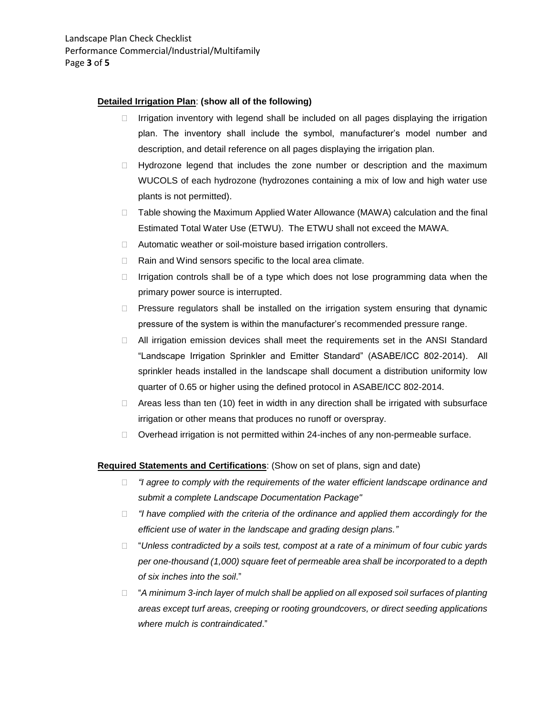#### **Detailed Irrigation Plan**: **(show all of the following)**

- $\Box$  Irrigation inventory with legend shall be included on all pages displaying the irrigation plan. The inventory shall include the symbol, manufacturer's model number and description, and detail reference on all pages displaying the irrigation plan.
- $\Box$  Hydrozone legend that includes the zone number or description and the maximum WUCOLS of each hydrozone (hydrozones containing a mix of low and high water use plants is not permitted).
- □ Table showing the Maximum Applied Water Allowance (MAWA) calculation and the final Estimated Total Water Use (ETWU). The ETWU shall not exceed the MAWA.
- □ Automatic weather or soil-moisture based irrigation controllers.
- □ Rain and Wind sensors specific to the local area climate.
- $\Box$  Irrigation controls shall be of a type which does not lose programming data when the primary power source is interrupted.
- $\Box$  Pressure regulators shall be installed on the irrigation system ensuring that dynamic pressure of the system is within the manufacturer's recommended pressure range.
- $\Box$  All irrigation emission devices shall meet the requirements set in the ANSI Standard "Landscape Irrigation Sprinkler and Emitter Standard" (ASABE/ICC 802-2014). All sprinkler heads installed in the landscape shall document a distribution uniformity low quarter of 0.65 or higher using the defined protocol in ASABE/ICC 802-2014.
- $\Box$  Areas less than ten (10) feet in width in any direction shall be irrigated with subsurface irrigation or other means that produces no runoff or overspray.
- $\Box$  Overhead irrigation is not permitted within 24-inches of any non-permeable surface.

#### **Required Statements and Certifications**: (Show on set of plans, sign and date)

- *"I agree to comply with the requirements of the water efficient landscape ordinance and submit a complete Landscape Documentation Package"*
- *"I have complied with the criteria of the ordinance and applied them accordingly for the efficient use of water in the landscape and grading design plans."*
- "*Unless contradicted by a soils test, compost at a rate of a minimum of four cubic yards per one-thousand (1,000) square feet of permeable area shall be incorporated to a depth of six inches into the soil*."
- "*A minimum 3-inch layer of mulch shall be applied on all exposed soil surfaces of planting areas except turf areas, creeping or rooting groundcovers, or direct seeding applications where mulch is contraindicated*."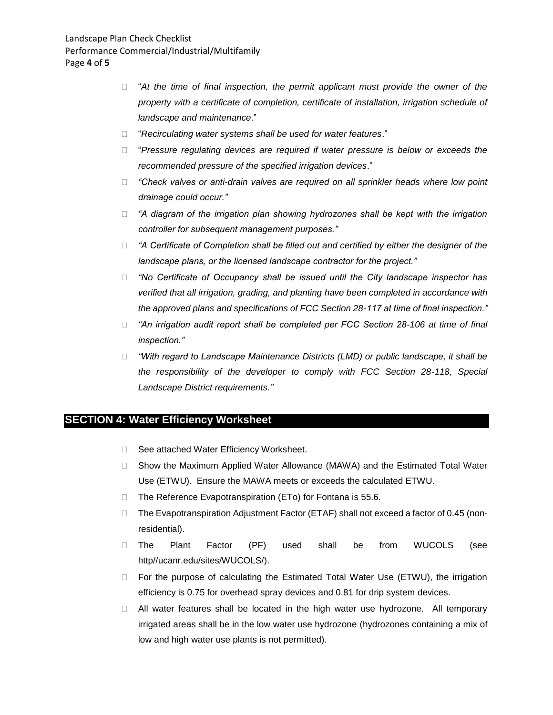- □ "At the time of final inspection, the permit applicant must provide the owner of the *property with a certificate of completion, certificate of installation, irrigation schedule of landscape and maintenance*."
- "*Recirculating water systems shall be used for water features*."
- "*Pressure regulating devices are required if water pressure is below or exceeds the recommended pressure of the specified irrigation devices*."
- *"Check valves or anti-drain valves are required on all sprinkler heads where low point drainage could occur."*
- *"A diagram of the irrigation plan showing hydrozones shall be kept with the irrigation controller for subsequent management purposes."*
- *"A Certificate of Completion shall be filled out and certified by either the designer of the landscape plans, or the licensed landscape contractor for the project."*
- *"No Certificate of Occupancy shall be issued until the City landscape inspector has verified that all irrigation, grading, and planting have been completed in accordance with the approved plans and specifications of FCC Section 28-117 at time of final inspection."*
- *"An irrigation audit report shall be completed per FCC Section 28-106 at time of final inspection."*
- *"With regard to Landscape Maintenance Districts (LMD) or public landscape, it shall be the responsibility of the developer to comply with FCC Section 28-118, Special Landscape District requirements."*

### **SECTION 4: Water Efficiency Worksheet**

- □ See attached Water Efficiency Worksheet.
- □ Show the Maximum Applied Water Allowance (MAWA) and the Estimated Total Water Use (ETWU). Ensure the MAWA meets or exceeds the calculated ETWU.
- $\Box$  The Reference Evapotranspiration (ETo) for Fontana is 55.6.
- □ The Evapotranspiration Adjustment Factor (ETAF) shall not exceed a factor of 0.45 (nonresidential).
- The Plant Factor (PF) used shall be from WUCOLS (see http//ucanr.edu/sites/WUCOLS/).
- $\Box$  For the purpose of calculating the Estimated Total Water Use (ETWU), the irrigation efficiency is 0.75 for overhead spray devices and 0.81 for drip system devices.
- All water features shall be located in the high water use hydrozone. All temporary irrigated areas shall be in the low water use hydrozone (hydrozones containing a mix of low and high water use plants is not permitted).